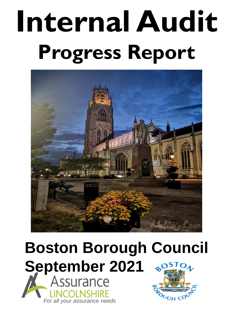# **Internal Audit Progress Report**



## **Boston Borough Council September 2021**<br>**M** Assurance **JENSE**

*For all your assurance needs*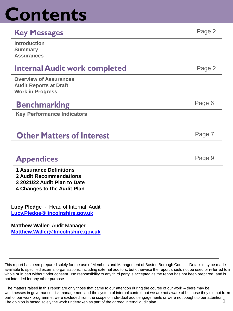## **Contents**

#### **Key Messages** Page 2

| <b>Introduction</b><br><b>Summary</b><br><b>Assurances</b> |        |
|------------------------------------------------------------|--------|
| <b>Internal Audit work completed</b>                       | Page 2 |

Page 7

Page 6

**Overview of Assurances Audit Reports at Draft Work in Progress**

### **Benchmarking**

**Key Performance Indicators** 

## **Other Matters of Interest**

## **Appendices** Page 9

- **1 Assurance Definitions**
- **2 Audit Recommendations**
- **3 2021/22 Audit Plan to Date**
- **4 Changes to the Audit Plan**

**Lucy Pledge** - Head of Internal Audit **[Lucy.Pledge@lincolnshire.gov.uk](mailto:Lucy.Pledge@lincolnshire.gov.uk)**

**Matthew Waller-** Audit Manager **[Matthew.Waller@lincolnshire.gov.uk](mailto:Matthew.Waller@lincolnshire.gov.uk)**

This report has been prepared solely for the use of Members and Management of Boston Borough Council. Details may be made available to specified external organisations, including external auditors, but otherwise the report should not be used or referred to in whole or in part without prior consent. No responsibility to any third party is accepted as the report has not been prepared, and is not intended for any other purpose.

The matters raised in this report are only those that came to our attention during the course of our work – there may be weaknesses in governance, risk management and the system of internal control that we are not aware of because they did not form part of our work programme, were excluded from the scope of individual audit engagements or were not bought to our attention. 1 The opinion is based solely the work undertaken as part of the agreed internal audit plan.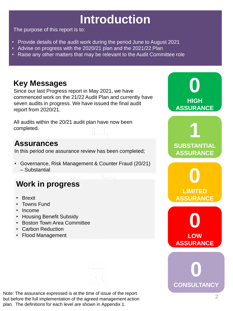## **Introduction**

The purpose of this report is to:

- Provide details of the audit work during the period June to August 2021
- Advise on progress with the 2020/21 plan and the 2021/22 Plan
- Raise any other matters that may be relevant to the Audit Committee role

## **Key Messages**

Since our last Progress report in May 2021, we have commenced work on the 21/22 Audit Plan and currently have seven audits in progress. We have issued the final audit report from 2020/21.

All audits within the 20/21 audit plan have now been completed.

### **Assurances**

In this period one assurance review has been completed;

• Governance, Risk Management & Counter Fraud (20/21) – Substantial

## **Work in progress**

- Brexit
- Towns Fund
- Income
- Housing Benefit Subsidy
- Boston Town Area Committee
- Carbon Reduction
- Flood Management

Note: The assurance expressed is at the time of issue of the report but before the full implementation of the agreed management action plan. The definitions for each level are shown in Appendix 1.

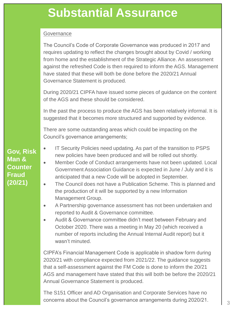## **Substantial Assurance**

#### **Governance**

The Council's Code of Corporate Governance was produced in 2017 and requires updating to reflect the changes brought about by Covid / working from home and the establishment of the Strategic Alliance. An assessment against the refreshed Code is then required to inform the AGS. Management have stated that these will both be done before the 2020/21 Annual Governance Statement is produced.

During 2020/21 CIPFA have issued some pieces of guidance on the content of the AGS and these should be considered.

In the past the process to produce the AGS has been relatively informal. It is suggested that it becomes more structured and supported by evidence.

There are some outstanding areas which could be impacting on the Council's governance arrangements;

- IT Security Policies need updating. As part of the transition to PSPS new policies have been produced and will be rolled out shortly.
- Member Code of Conduct arrangements have not been updated. Local Government Association Guidance is expected in June / July and it is anticipated that a new Code will be adopted in September.
- The Council does not have a Publication Scheme. This is planned and the production of it will be supported by a new Information Management Group.
- A Partnership governance assessment has not been undertaken and reported to Audit & Governance committee.
- Audit & Governance committee didn't meet between February and October 2020. There was a meeting in May 20 (which received a number of reports including the Annual Internal Audit report) but it wasn't minuted.

CIPFA's Financial Management Code is applicable in shadow form during 2020/21 with compliance expected from 2021/22. The guidance suggests that a self-assessment against the FM Code is done to inform the 20/21 AGS and management have stated that this will both be before the 2020/21 Annual Governance Statement is produced.

The S151 Officer and AD Organisation and Corporate Services have no concerns about the Council's governance arrangements during  $2020/21$ .

**Gov, Risk Man & Counter Fraud (20/21)**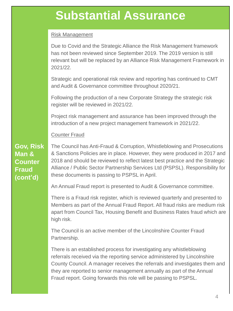## **Substantial Assurance**

#### Risk Management

Due to Covid and the Strategic Alliance the Risk Management framework has not been reviewed since September 2019. The 2019 version is still relevant but will be replaced by an Alliance Risk Management Framework in 2021/22.

Strategic and operational risk review and reporting has continued to CMT and Audit & Governance committee throughout 2020/21.

Following the production of a new Corporate Strategy the strategic risk register will be reviewed in 2021/22.

Project risk management and assurance has been improved through the introduction of a new project management framework in 2021/22.

#### Counter Fraud

**Gov, Risk Man & Counter Fraud (cont'd)**

The Council has Anti-Fraud & Corruption, Whistleblowing and Prosecutions & Sanctions Policies are in place. However, they were produced in 2017 and 2018 and should be reviewed to reflect latest best practice and the Strategic Alliance / Public Sector Partnership Services Ltd (PSPSL). Responsibility for these documents is passing to PSPSL in April.

An Annual Fraud report is presented to Audit & Governance committee.

There is a Fraud risk register, which is reviewed quarterly and presented to Members as part of the Annual Fraud Report. All fraud risks are medium risk apart from Council Tax, Housing Benefit and Business Rates fraud which are high risk.

The Council is an active member of the Lincolnshire Counter Fraud Partnership.

There is an established process for investigating any whistleblowing referrals received via the reporting service administered by Lincolnshire County Council. A manager receives the referrals and investigates them and they are reported to senior management annually as part of the Annual Fraud report. Going forwards this role will be passing to PSPSL.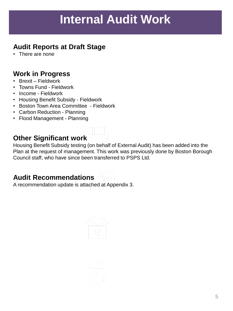## **Internal Audit Work**

#### **Audit Reports at Draft Stage**

• There are none

#### **Work in Progress**

- Brexit Fieldwork
- Towns Fund Fieldwork
- Income Fieldwork
- Housing Benefit Subsidy Fieldwork
- Boston Town Area Committee Fieldwork
- Carbon Reduction Planning
- Flood Management Planning

#### **Other Significant work**

Housing Benefit Subsidy testing (on behalf of External Audit) has been added into the Plan at the request of management. This work was previously done by Boston Borough Council staff, who have since been transferred to PSPS Ltd.

#### **Audit Recommendations**

A recommendation update is attached at Appendix 3.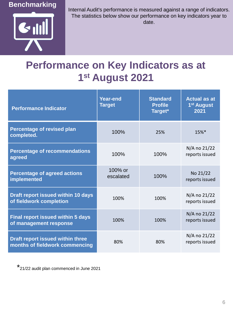#### **Benchmarking**



Internal Audit's performance is measured against a range of indicators. The statistics below show our performance on key indicators year to date.

## **Performance on Key Indicators as at 1 st August 2021**

| <b>Performance Indicator</b>                                         | <b>Year-end</b><br><b>Target</b> | <b>Standard</b><br><b>Profile</b><br>Target* | <b>Actual as at</b><br>1 <sup>st</sup> August<br>2021 |
|----------------------------------------------------------------------|----------------------------------|----------------------------------------------|-------------------------------------------------------|
| <b>Percentage of revised plan</b><br>completed.                      | 100%                             | 25%                                          | 15%*                                                  |
| <b>Percentage of recommendations</b><br>agreed                       | 100%                             | 100%                                         | N/A no 21/22<br>reports issued                        |
| <b>Percentage of agreed actions</b><br>implemented                   | 100% or<br>escalated             | 100%                                         | No 21/22<br>reports issued                            |
| <b>Draft report issued within 10 days</b><br>of fieldwork completion | 100%                             | 100%                                         | N/A no 21/22<br>reports issued                        |
| <b>Final report issued within 5 days</b><br>of management response   | 100%                             | 100%                                         | N/A no 21/22<br>reports issued                        |
| Draft report issued within three<br>months of fieldwork commencing   | 80%                              | 80%                                          | N/A no 21/22<br>reports issued                        |

\* 21/22 audit plan commenced in June 2021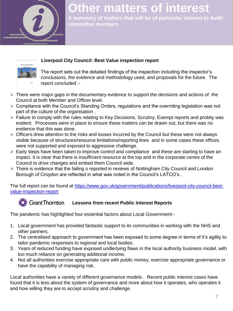

## **Other matters of interest**

**A summary of matters that will be of particular interest to Audit committee members** 



#### **Liverpool City Council: Best Value inspection report**

The report sets out the detailed findings of the inspection including the inspector's conclusions, the evidence and methodology used, and proposals for the future. The report concluded :-

- $\triangleright$  There were major gaps in the documentary evidence to support the decisions and actions of the Council at both Member and Officer level.
- $\triangleright$  Compliance with the Council's Standing Orders, regulations and the overriding legislation was not part of the culture of the organisation .
- $\triangleright$  Failure to comply with the rules relating to Key Decisions, Scrutiny, Exempt reports and probity was evident. Processes were in place to ensure these matters can be drawn out, but there was no evidence that this was done.
- $\triangleright$  Officers drew attention to the risks and losses incurred by the Council but these were not always visible because of structures/resource limitations/reporting lines and in some cases these offices were not supported and exposed to aggressive challenge.
- $\triangleright$  Early steps have been taken to improve control and compliance and these are starting to have an impact. It is clear that there is insufficient resource at the top and in the corporate centre of the Council to drive changes and embed them Council wide.
- ▶ There is evidence that the failing s reported in reviews of Nottingham City Council and London Borough of Croydon are reflected in what was noted in the Council's LATCO's .

[The full report can be found at https://www.gov.uk/government/publications/liverpool-city-council-best](https://www.gov.uk/government/publications/liverpool-city-council-best-value-inspection-report)value-inspection-report

#### **C** Grant Thornton Lessons from recent Public Interest Reports

The pandemic has highlighted four essential factors about Local Government:-

- 1. Local government has provided fantastic support to its communities in working with the NHS and other partners.
- 2. The centralised approach to government has been exposed to some degree in terms of it's agility to tailor pandemic responses to regional and local bodies.
- 3. Years of reduced funding have exposed undlerlying flaws in the local authority business model, with too much reliance on generating additional income.
- 4. Not all authorities exercise appropriate care with public money, exercise appropriate governance or have the capability of managing risk.

Local authorities have a variety of different governance models . Recent public interest cases have found that it is less about the system of governance and more about how it operates, who operates it and how willing they are to accept scrutiny and challenge.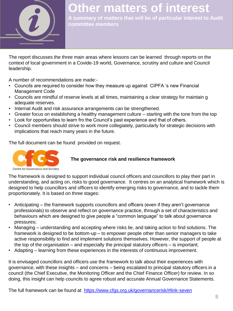

## **Other matters of interest**

**A summary of matters that will be of particular interest to Audit committee members** 

The report discusses the three main areas where lessons can be learned through reports on the context of local government in a Covide-19 world, Governance, scrutiny and culture and Council leadership.

A number of recommendations are made:-

- Councils are required to consider how they measure up against CIPFA 's new Financial Management Code
- Councils are mindful of reserve levels at all times, maintaining a clear strategy for maintain g adequate reserves.
- Internal Audit and risk assurance arrangements can be strengthened.
- Greater focus on establishing a healthy management culture starting with the tone from the top
- Look for opportunities to learn fro the Council's past experience and that of others.
- Council members should strive to work more collegiately, particularly for strategic decisions with implications that reach many years in the future.

The full document can be found provided on request.



#### **The governance risk and resilience framework**

The framework is designed to support individual council officers and councillors to play their part in understanding, and acting on, risks to good governance. It centres on an analytical framework which is designed to help councillors and officers to identify emerging risks to governance, and to tackle them proportionately. It is based on three stages:

- Anticipating the framework supports councillors and officers (even if they aren't governance professionals) to observe and reflect on governance practice, through a set of characteristics and behaviours which are designed to give people a "common language" to talk about governance pressures;
- Managing understanding and accepting where risks lie, and taking action to find solutions. The framework is designed to be bottom-up – to empower people other than senior managers to take active responsibility to find and implement solutions themselves. However, the support of people at the top of the organisation – and especially the principal statutory officers – is important;
- Adapting learning from these experiences in the interests of continuous improvement.

It is envisaged councillors and officers use the framework to talk about their experiences with governance, with these insights – and concerns – being escalated to principal statutory officers in a council (the Chief Executive, the Monitoring Officer and the Chief Finance Officer) for review. In so doing, this insight can help councils to agree robust and accurate Annual Governance Statements.

The full framework can be found at [https://www.cfgs.org.uk/governancerisk/#link-seven](https://gbr01.safelinks.protection.outlook.com/?url=https://www.cfgs.org.uk/governancerisk/#link-seven&data=04|01|Amanda.Hunt@lincolnshire.gov.uk|a0e53328e22348fa15da08d904bfbfcb|b4e05b92f8ce46b59b2499ba5c11e5e9|0|0|637546043881026785|Unknown|TWFpbGZsb3d8eyJWIjoiMC4wLjAwMDAiLCJQIjoiV2luMzIiLCJBTiI6Ik1haWwiLCJXVCI6Mn0%3D|1000&sdata=d7mqLhrFH7pYONnaWuVgG4GRRuVrz1T37sIpHvzqrFY%3D&reserved=0)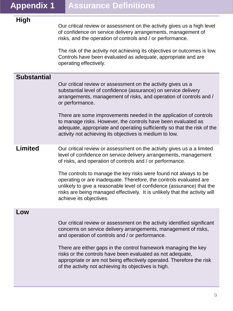#### **High**

Our critical review or assessment on the activity gives us a high level of confidence on service delivery arrangements, management of risks, and the operation of controls and / or performance.

The risk of the activity not achieving its objectives or outcomes is low. Controls have been evaluated as adequate, appropriate and are operating effectively.

#### **Substantial**

Our critical review or assessment on the activity gives us a substantial level of confidence (assurance) on service delivery arrangements, management of risks, and operation of controls and / or performance.

There are some improvements needed in the application of controls to manage risks. However, the controls have been evaluated as adequate, appropriate and operating sufficiently so that the risk of the activity not achieving its objectives is medium to low.

#### **Limited** Our critical review or assessment on the activity gives us a a limited level of confidence on service delivery arrangements, management of risks, and operation of controls and / or performance.

The controls to manage the key risks were found not always to be operating or are inadequate. Therefore, the controls evaluated are unlikely to give a reasonable level of confidence (assurance) that the risks are being managed effectively. It is unlikely that the activity will achieve its objectives.

#### **Low**

Our critical review or assessment on the activity identified significant concerns on service delivery arrangements, management of risks, and operation of controls and / or performance.

There are either gaps in the control framework managing the key risks or the controls have been evaluated as not adequate, appropriate or are not being effectively operated. Therefore the risk of the activity not achieving its objectives is high.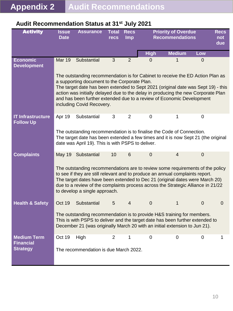| <b>Activity</b>                                           | <b>Issue</b><br><b>Date</b>                                                                                                                                                                                                                                                                                                                                                                                                                             | <b>Assurance</b>                                                                                                                                                                                                                                     | <b>Total</b><br>recs | <b>Recs</b><br><b>Imp</b> |                  | <b>Priority of Overdue</b><br><b>Recommendations</b> |                | <b>Recs</b><br>not<br>due |
|-----------------------------------------------------------|---------------------------------------------------------------------------------------------------------------------------------------------------------------------------------------------------------------------------------------------------------------------------------------------------------------------------------------------------------------------------------------------------------------------------------------------------------|------------------------------------------------------------------------------------------------------------------------------------------------------------------------------------------------------------------------------------------------------|----------------------|---------------------------|------------------|------------------------------------------------------|----------------|---------------------------|
|                                                           |                                                                                                                                                                                                                                                                                                                                                                                                                                                         |                                                                                                                                                                                                                                                      |                      |                           | <b>High</b>      | <b>Medium</b>                                        | Low            |                           |
| <b>Economic</b><br><b>Development</b>                     | Mar 19                                                                                                                                                                                                                                                                                                                                                                                                                                                  | Substantial                                                                                                                                                                                                                                          | $\overline{3}$       | $\overline{2}$            | $\overline{0}$   | 1                                                    | $\overline{0}$ |                           |
|                                                           | The outstanding recommendation is for Cabinet to receive the ED Action Plan as<br>a supporting document to the Corporate Plan.<br>The target date has been extended to Sept 2021 (original date was Sept 19) - this<br>action was initially delayed due to the delay in producing the new Corporate Plan<br>and has been further extended due to a review of Economic Development<br>including Covid Recovery.                                          |                                                                                                                                                                                                                                                      |                      |                           |                  |                                                      |                |                           |
| <b>IT Infrastructure</b><br><b>Follow Up</b>              | Apr 19                                                                                                                                                                                                                                                                                                                                                                                                                                                  | Substantial<br>The outstanding recommendation is to finalise the Code of Connection.<br>The target date has been extended a few times and it is now Sept 21 (the original<br>date was April 19). This is with PSPS to deliver.                       | 3                    | $\overline{2}$            | 0                | 1                                                    | $\mathbf 0$    |                           |
| <b>Complaints</b>                                         | 6<br>May 19 Substantial<br>10<br>$\mathbf 0$<br>$\overline{4}$<br>$\overline{0}$<br>The outstanding recommendations are to review some requirements of the policy<br>to see if they are still relevant and to produce an annual complaints report.<br>The target dates have been extended to Dec 21 (original dates were March 20)<br>due to a review of the complaints process across the Strategic Alliance in 21/22<br>to develop a single approach. |                                                                                                                                                                                                                                                      |                      |                           |                  |                                                      |                |                           |
| <b>Health &amp; Safety</b>                                | Oct 19                                                                                                                                                                                                                                                                                                                                                                                                                                                  | Substantial<br>The outstanding recommendation is to provide H&S training for members.<br>This is with PSPS to deliver and the target date has been further extended to<br>December 21 (was originally March 20 with an initial extension to Jun 21). | 5                    | $\overline{4}$            | $\overline{0}$   | 1                                                    | $\mathbf 0$    | $\mathbf 0$               |
| <b>Medium Term</b><br><b>Financial</b><br><b>Strategy</b> | Oct 19                                                                                                                                                                                                                                                                                                                                                                                                                                                  | High<br>The recommendation is due March 2022.                                                                                                                                                                                                        | $\overline{2}$       | 1                         | $\boldsymbol{0}$ | 0                                                    | $\mathbf 0$    | 1                         |

#### **Audit Recommendation Status at 31st July 2021**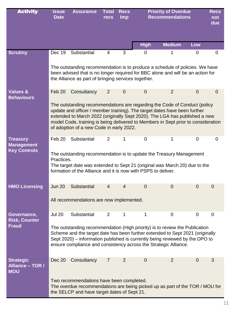| <b>Activity</b>                                    | <b>Issue</b><br><b>Date</b>                                                                                                                                                                                                                                                                                      | <b>Assurance</b>                                                                                                                                                                                                                                                                                                                                                      | <b>Total</b><br><b>recs</b> | <b>Recs</b><br><b>Imp</b> | <b>Priority of Overdue</b><br><b>Recommendations</b> |                | <b>Recs</b><br>not<br>due |                |
|----------------------------------------------------|------------------------------------------------------------------------------------------------------------------------------------------------------------------------------------------------------------------------------------------------------------------------------------------------------------------|-----------------------------------------------------------------------------------------------------------------------------------------------------------------------------------------------------------------------------------------------------------------------------------------------------------------------------------------------------------------------|-----------------------------|---------------------------|------------------------------------------------------|----------------|---------------------------|----------------|
|                                                    |                                                                                                                                                                                                                                                                                                                  |                                                                                                                                                                                                                                                                                                                                                                       |                             |                           | <b>High</b>                                          | <b>Medium</b>  | Low                       |                |
| <b>Scrutiny</b>                                    | Dec 19                                                                                                                                                                                                                                                                                                           | Substantial                                                                                                                                                                                                                                                                                                                                                           | 4                           | 3                         | $\overline{0}$                                       | 1              | 0                         | $\mathbf 0$    |
|                                                    |                                                                                                                                                                                                                                                                                                                  | The outstanding recommendation is to produce a schedule of policies. We have<br>been advised that is no longer required for BBC alone and will be an action for<br>the Alliance as part of bringing services together.                                                                                                                                                |                             |                           |                                                      |                |                           |                |
| <b>Values &amp;</b><br><b>Behaviours</b>           | Feb 20                                                                                                                                                                                                                                                                                                           | Consultancy                                                                                                                                                                                                                                                                                                                                                           | $\overline{2}$              | $\mathbf 0$               | $\overline{0}$                                       | $\overline{2}$ | $\overline{0}$            | $\overline{0}$ |
|                                                    |                                                                                                                                                                                                                                                                                                                  | The outstanding recommendations are regarding the Code of Conduct (policy<br>update and officer / member training). The target dates have been further<br>extended to March 2022 (originally Sept 2020). The LGA has published a new<br>model Code, training is being delivered to Members in Sept prior to consideration<br>of adoption of a new Code in early 2022. |                             |                           |                                                      |                |                           |                |
| <b>Treasury</b><br><b>Management</b>               | Feb 20                                                                                                                                                                                                                                                                                                           | Substantial                                                                                                                                                                                                                                                                                                                                                           | $\overline{2}$              | 1                         | $\overline{0}$                                       | 1              | $\overline{0}$            | 0              |
| <b>Key Controls</b>                                | Practices.                                                                                                                                                                                                                                                                                                       | The outstanding recommendation is to update the Treasury Management<br>The target date was extended to Sept 21 (original was March 20) due to the<br>formation of the Alliance and it is now with PSPS to deliver.                                                                                                                                                    |                             |                           |                                                      |                |                           |                |
| <b>HMO Licensing</b>                               | <b>Jun 20</b>                                                                                                                                                                                                                                                                                                    | Substantial                                                                                                                                                                                                                                                                                                                                                           | 4                           | $\overline{4}$            | $\overline{0}$                                       | $\overline{0}$ | $\mathbf 0$               | $\mathbf 0$    |
|                                                    | All recommendations are now implemented.                                                                                                                                                                                                                                                                         |                                                                                                                                                                                                                                                                                                                                                                       |                             |                           |                                                      |                |                           |                |
| Governance,<br><b>Risk, Counter</b>                | <b>Jul 20</b>                                                                                                                                                                                                                                                                                                    | Substantial                                                                                                                                                                                                                                                                                                                                                           | $\overline{2}$              | 1                         | 1                                                    | 0              | 0                         | $\mathbf 0$    |
| <b>Fraud</b>                                       | The outstanding recommendation (High priority) is to review the Publication<br>Scheme and the target date has been further extended to Sept 2021 (originally<br>Sept 2020) – information published is currently being reviewed by the DPO to<br>ensure compliance and consistency across the Strategic Alliance. |                                                                                                                                                                                                                                                                                                                                                                       |                             |                           |                                                      |                |                           |                |
| <b>Strategic</b><br>Alliance - TOR /<br><b>MOU</b> | Dec 20                                                                                                                                                                                                                                                                                                           | Consultancy                                                                                                                                                                                                                                                                                                                                                           | $\overline{7}$              | $\overline{2}$            | $\overline{0}$                                       | $\overline{2}$ | $\mathbf 0$               | 3              |
|                                                    | Two recommendations have been completed.<br>The overdue recommendations are being picked up as part of the TOR / MOU for<br>the SELCP and have target dates of Sept 21.                                                                                                                                          |                                                                                                                                                                                                                                                                                                                                                                       |                             |                           |                                                      |                |                           |                |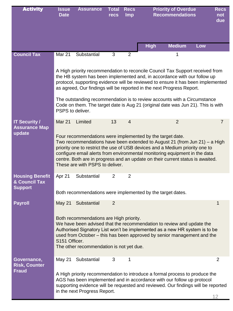| <b>Activity</b>                                                      | <b>Issue</b><br><b>Date</b>                                                                                                                                                                                                                                                                                                                                                                                                | <b>Assurance</b>             | <b>Total</b><br>recs | <b>Recs</b><br><b>Imp</b> | <b>Priority of Overdue</b><br><b>Recommendations</b>                                                                                                                                                                                                                                                                   |     | <b>Recs</b><br>not<br>due |
|----------------------------------------------------------------------|----------------------------------------------------------------------------------------------------------------------------------------------------------------------------------------------------------------------------------------------------------------------------------------------------------------------------------------------------------------------------------------------------------------------------|------------------------------|----------------------|---------------------------|------------------------------------------------------------------------------------------------------------------------------------------------------------------------------------------------------------------------------------------------------------------------------------------------------------------------|-----|---------------------------|
|                                                                      |                                                                                                                                                                                                                                                                                                                                                                                                                            |                              |                      |                           | <b>Medium</b><br><b>High</b>                                                                                                                                                                                                                                                                                           | Low |                           |
| <b>Council Tax</b>                                                   | <b>Mar 21</b>                                                                                                                                                                                                                                                                                                                                                                                                              | Substantial                  | 3                    | $\overline{2}$            | 1                                                                                                                                                                                                                                                                                                                      |     |                           |
|                                                                      |                                                                                                                                                                                                                                                                                                                                                                                                                            |                              |                      |                           | A High priority recommendation to reconcile Council Tax Support received from<br>the HB system has been implemented and, in accordance with our follow up<br>protocol, supporting evidence will be reviewed to ensure it has been implemented<br>as agreed, Our findings will be reported in the next Progress Report. |     |                           |
|                                                                      | PSPS to deliver.                                                                                                                                                                                                                                                                                                                                                                                                           |                              |                      |                           | The outstanding recommendation is to review accounts with a Circumstance<br>Code on them. The target date is Aug 21 (original date was Jun 21). This is with                                                                                                                                                           |     |                           |
| <b>IT Security /</b><br><b>Assurance Map</b>                         | Mar 21                                                                                                                                                                                                                                                                                                                                                                                                                     | Limited                      | 13                   | $\overline{4}$            | $\overline{2}$                                                                                                                                                                                                                                                                                                         |     | $\overline{7}$            |
| update                                                               | Four recommendations were implemented by the target date.<br>Two recommendations have been extended to August 21 (from Jun 21) - a High<br>priority one to restrict the use of USB devices and a Medium priority one to<br>configure email alerts from environmental monitoring equipment in the data<br>centre. Both are in progress and an update on their current status is awaited.<br>These are with PSPS to deliver. |                              |                      |                           |                                                                                                                                                                                                                                                                                                                        |     |                           |
| <b>Housing Benefit</b><br><b>&amp; Council Tax</b><br><b>Support</b> | Apr 21                                                                                                                                                                                                                                                                                                                                                                                                                     | Substantial                  | 2                    | $\overline{2}$            | Both recommendations were implemented by the target dates.                                                                                                                                                                                                                                                             |     |                           |
| <b>Payroll</b>                                                       |                                                                                                                                                                                                                                                                                                                                                                                                                            |                              |                      |                           |                                                                                                                                                                                                                                                                                                                        |     |                           |
|                                                                      | $\overline{2}$<br>May 21 Substantial<br>1<br>Both recommendations are High priority.<br>We have been advised that the recommendation to review and update the<br>Authorised Signatory List won't be implemented as a new HR system is to be<br>used from October - this has been approved by senior management and the<br>S151 Officer.<br>The other recommendation is not yet due.                                        |                              |                      |                           |                                                                                                                                                                                                                                                                                                                        |     |                           |
| Governance,<br><b>Risk, Counter</b>                                  | May 21                                                                                                                                                                                                                                                                                                                                                                                                                     | Substantial                  | 3                    | 1                         |                                                                                                                                                                                                                                                                                                                        |     | 2                         |
| <b>Fraud</b>                                                         |                                                                                                                                                                                                                                                                                                                                                                                                                            | in the next Progress Report. |                      |                           | A High priority recommendation to introduce a formal process to produce the<br>AGS has been implemented and in accordance with our follow up protocol<br>supporting evidence will be requested and reviewed. Our findings will be reported                                                                             |     |                           |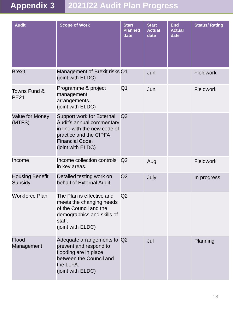## **Appendix 3 2021/22 Audit Plan Progress**

| <b>Audit</b>                      | <b>Scope of Work</b>                                                                                                                                                   | <b>Start</b><br><b>Planned</b><br>date | <b>Start</b><br><b>Actual</b><br>date | <b>End</b><br><b>Actual</b><br>date | <b>Status/ Rating</b> |
|-----------------------------------|------------------------------------------------------------------------------------------------------------------------------------------------------------------------|----------------------------------------|---------------------------------------|-------------------------------------|-----------------------|
| <b>Brexit</b>                     | Management of Brexit risks Q1<br>(joint with ELDC)                                                                                                                     |                                        | Jun                                   |                                     | <b>Fieldwork</b>      |
| Towns Fund &<br><b>PE21</b>       | Programme & project<br>management<br>arrangements.<br>(joint with ELDC)                                                                                                | Q <sub>1</sub>                         | Jun                                   |                                     | <b>Fieldwork</b>      |
| Value for Money<br>(MTFS)         | <b>Support work for External</b><br>Audit's annual commentary<br>in line with the new code of<br>practice and the CIPFA<br><b>Financial Code.</b><br>(joint with ELDC) | Q <sub>3</sub>                         |                                       |                                     |                       |
| Income                            | Income collection controls<br>in key areas.                                                                                                                            | Q <sub>2</sub>                         | Aug                                   |                                     | <b>Fieldwork</b>      |
| <b>Housing Benefit</b><br>Subsidy | Detailed testing work on<br>behalf of External Audit                                                                                                                   | Q <sub>2</sub>                         | July                                  |                                     | In progress           |
| <b>Workforce Plan</b>             | The Plan is effective and<br>meets the changing needs<br>of the Council and the<br>demographics and skills of<br>staff.<br>(joint with ELDC)                           | Q <sub>2</sub>                         |                                       |                                     |                       |
| Flood<br>Management               | Adequate arrangements to Q2<br>prevent and respond to<br>flooding are in place<br>between the Council and<br>the LLFA.<br>(joint with ELDC)                            |                                        | Jul                                   |                                     | Planning              |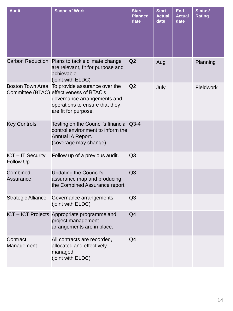| <b>Audit</b>                               | <b>Scope of Work</b>                                                                                                                                                                | <b>Start</b><br><b>Planned</b><br>date | <b>Start</b><br><b>Actual</b><br>date | <b>End</b><br><b>Actual</b><br>date | Status/<br><b>Rating</b> |
|--------------------------------------------|-------------------------------------------------------------------------------------------------------------------------------------------------------------------------------------|----------------------------------------|---------------------------------------|-------------------------------------|--------------------------|
|                                            | Carbon Reduction Plans to tackle climate change<br>are relevant, fit for purpose and<br>achievable.<br>(joint with ELDC)                                                            | Q2                                     | Aug                                   |                                     | Planning                 |
|                                            | Boston Town Area To provide assurance over the<br>Committee (BTAC) effectiveness of BTAC's<br>governance arrangements and<br>operations to ensure that they<br>are fit for purpose. | Q <sub>2</sub>                         | July                                  |                                     | <b>Fieldwork</b>         |
| <b>Key Controls</b>                        | Testing on the Council's financial Q3-4<br>control environment to inform the<br>Annual IA Report.<br>(coverage may change)                                                          |                                        |                                       |                                     |                          |
| <b>ICT-IT Security</b><br><b>Follow Up</b> | Follow up of a previous audit.                                                                                                                                                      | Q <sub>3</sub>                         |                                       |                                     |                          |
| Combined<br><b>Assurance</b>               | <b>Updating the Council's</b><br>assurance map and producing<br>the Combined Assurance report.                                                                                      | Q <sub>3</sub>                         |                                       |                                     |                          |
| <b>Strategic Alliance</b>                  | Governance arrangements<br>(joint with ELDC)                                                                                                                                        | Q3                                     |                                       |                                     |                          |
|                                            | ICT - ICT Projects Appropriate programme and<br>project management<br>arrangements are in place.                                                                                    | Q4                                     |                                       |                                     |                          |
| Contract<br>Management                     | All contracts are recorded,<br>allocated and effectively<br>managed.<br>(joint with ELDC)                                                                                           | Q4                                     |                                       |                                     |                          |